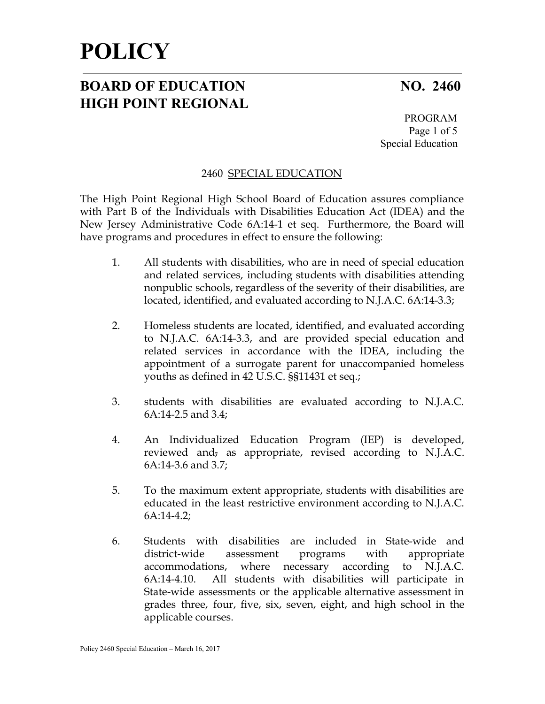## **BOARD OF EDUCATION NO. 2460 HIGH POINT REGIONAL**

PROGRAM Page 1 of 5 Special Education

### 2460 SPECIAL EDUCATION

The High Point Regional High School Board of Education assures compliance with Part B of the Individuals with Disabilities Education Act (IDEA) and the New Jersey Administrative Code 6A:14-1 et seq. Furthermore, the Board will have programs and procedures in effect to ensure the following:

- 1. All students with disabilities, who are in need of special education and related services, including students with disabilities attending nonpublic schools, regardless of the severity of their disabilities, are located, identified, and evaluated according to N.J.A.C. 6A:14-3.3;
- 2. Homeless students are located, identified, and evaluated according to N.J.A.C. 6A:14-3.3, and are provided special education and related services in accordance with the IDEA, including the appointment of a surrogate parent for unaccompanied homeless youths as defined in 42 U.S.C. §§11431 et seq.;
- 3. students with disabilities are evaluated according to N.J.A.C. 6A:14-2.5 and 3.4;
- 4. An Individualized Education Program (IEP) is developed, reviewed and, as appropriate, revised according to N.J.A.C. 6A:14-3.6 and 3.7;
- 5. To the maximum extent appropriate, students with disabilities are educated in the least restrictive environment according to N.J.A.C. 6A:14-4.2;
- 6. Students with disabilities are included in State-wide and district-wide assessment programs with appropriate accommodations, where necessary according to N.J.A.C. 6A:14-4.10. All students with disabilities will participate in State-wide assessments or the applicable alternative assessment in grades three, four, five, six, seven, eight, and high school in the applicable courses.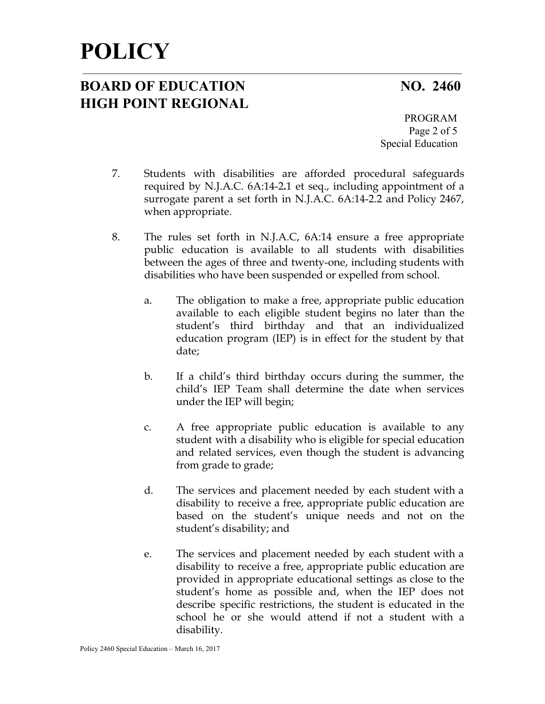## **BOARD OF EDUCATION NO. 2460 HIGH POINT REGIONAL**

PROGRAM Page 2 of 5 Special Education

- 7. Students with disabilities are afforded procedural safeguards required by N.J.A.C. 6A:14-2**.**1 et seq., including appointment of a surrogate parent a set forth in N.J.A.C. 6A:14-2.2 and Policy 2467, when appropriate.
- 8. The rules set forth in N.J.A.C, 6A:14 ensure a free appropriate public education is available to all students with disabilities between the ages of three and twenty-one, including students with disabilities who have been suspended or expelled from school.
	- a. The obligation to make a free, appropriate public education available to each eligible student begins no later than the student's third birthday and that an individualized education program (IEP) is in effect for the student by that date;
	- b. If a child's third birthday occurs during the summer, the child's IEP Team shall determine the date when services under the IEP will begin;
	- c. A free appropriate public education is available to any student with a disability who is eligible for special education and related services, even though the student is advancing from grade to grade;
	- d. The services and placement needed by each student with a disability to receive a free, appropriate public education are based on the student's unique needs and not on the student's disability; and
	- e. The services and placement needed by each student with a disability to receive a free, appropriate public education are provided in appropriate educational settings as close to the student's home as possible and, when the IEP does not describe specific restrictions, the student is educated in the school he or she would attend if not a student with a disability.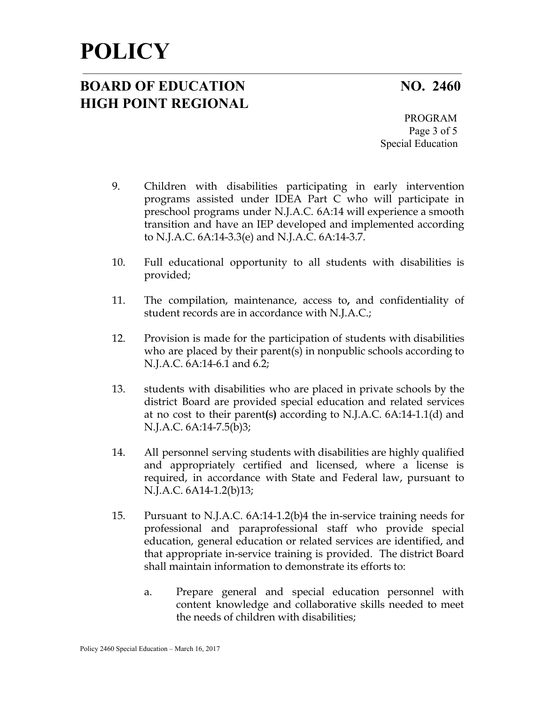## **BOARD OF EDUCATION NO. 2460 HIGH POINT REGIONAL**

PROGRAM Page 3 of 5 Special Education

- 9. Children with disabilities participating in early intervention programs assisted under IDEA Part C who will participate in preschool programs under N.J.A.C. 6A:14 will experience a smooth transition and have an IEP developed and implemented according to N.J.A.C. 6A:14-3.3(e) and N.J.A.C. 6A:14-3.7.
- 10. Full educational opportunity to all students with disabilities is provided;
- 11. The compilation, maintenance, access to**,** and confidentiality of student records are in accordance with N.J.A.C.;
- 12. Provision is made for the participation of students with disabilities who are placed by their parent(s) in nonpublic schools according to N.J.A.C. 6A:14-6.1 and 6.2;
- 13. students with disabilities who are placed in private schools by the district Board are provided special education and related services at no cost to their parent**(**s**)** according to N.J.A.C. 6A:14-1.1(d) and N.J.A.C. 6A:14-7.5(b)3;
- 14. All personnel serving students with disabilities are highly qualified and appropriately certified and licensed, where a license is required, in accordance with State and Federal law, pursuant to N.J.A.C. 6A14-1.2(b)13;
- 15. Pursuant to N.J.A.C. 6A:14-1.2(b)4 the in-service training needs for professional and paraprofessional staff who provide special education, general education or related services are identified, and that appropriate in-service training is provided. The district Board shall maintain information to demonstrate its efforts to:
	- a. Prepare general and special education personnel with content knowledge and collaborative skills needed to meet the needs of children with disabilities;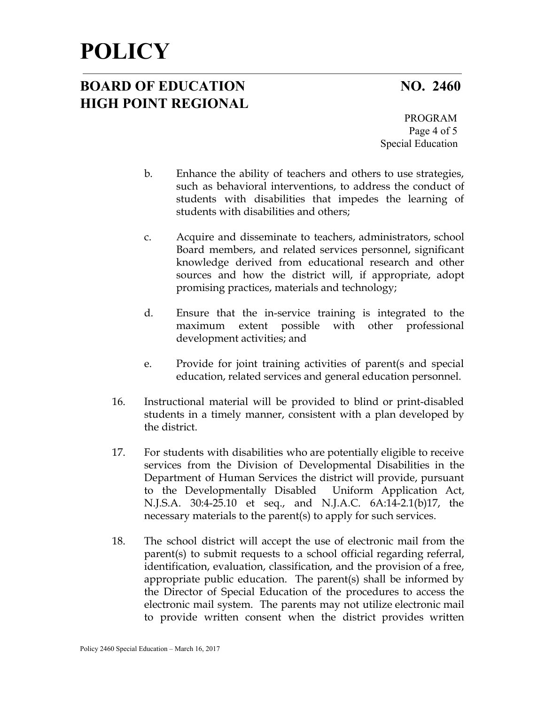## **BOARD OF EDUCATION NO. 2460 HIGH POINT REGIONAL**

PROGRAM Page 4 of 5 Special Education

- b. Enhance the ability of teachers and others to use strategies, such as behavioral interventions, to address the conduct of students with disabilities that impedes the learning of students with disabilities and others;
- c. Acquire and disseminate to teachers, administrators, school Board members, and related services personnel, significant knowledge derived from educational research and other sources and how the district will, if appropriate, adopt promising practices, materials and technology;
- d. Ensure that the in-service training is integrated to the maximum extent possible with other professional development activities; and
- e. Provide for joint training activities of parent(s and special education, related services and general education personnel.
- 16. Instructional material will be provided to blind or print-disabled students in a timely manner, consistent with a plan developed by the district.
- 17. For students with disabilities who are potentially eligible to receive services from the Division of Developmental Disabilities in the Department of Human Services the district will provide, pursuant to the Developmentally Disabled Uniform Application Act, N.J.S.A. 30:4-25.10 et seq., and N.J.A.C. 6A:14-2.1(b)17, the necessary materials to the parent(s) to apply for such services.
- 18. The school district will accept the use of electronic mail from the parent(s) to submit requests to a school official regarding referral, identification, evaluation, classification, and the provision of a free, appropriate public education. The parent(s) shall be informed by the Director of Special Education of the procedures to access the electronic mail system. The parents may not utilize electronic mail to provide written consent when the district provides written